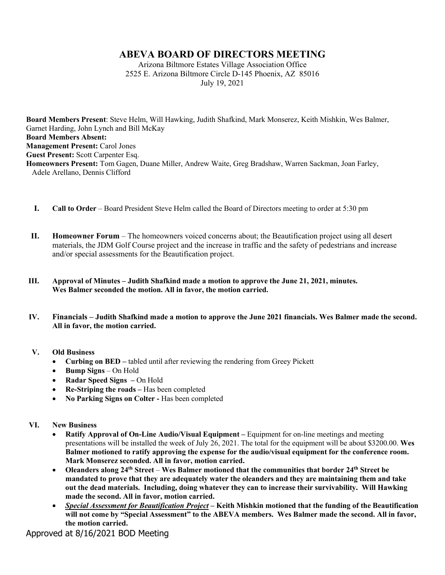## **ABEVA BOARD OF DIRECTORS MEETING**

Arizona Biltmore Estates Village Association Office 2525 E. Arizona Biltmore Circle D-145 Phoenix, AZ 85016 July 19, 2021

**Board Members Present**: Steve Helm, Will Hawking, Judith Shafkind, Mark Monserez, Keith Mishkin, Wes Balmer, Garnet Harding, John Lynch and Bill McKay **Board Members Absent: Management Present: Carol Jones Guest Present:** Scott Carpenter Esq. **Homeowners Present:** Tom Gagen, Duane Miller, Andrew Waite, Greg Bradshaw, Warren Sackman, Joan Farley, Adele Arellano, Dennis Clifford

- **I. Call to Order** Board President Steve Helm called the Board of Directors meeting to order at 5:30 pm
- **II. Homeowner Forum** The homeowners voiced concerns about; the Beautification project using all desert materials, the JDM Golf Course project and the increase in traffic and the safety of pedestrians and increase and/or special assessments for the Beautification project.
- **III. Approval of Minutes – Judith Shafkind made a motion to approve the June 21, 2021, minutes. Wes Balmer seconded the motion. All in favor, the motion carried.**
- **IV. Financials – Judith Shafkind made a motion to approve the June 2021 financials. Wes Balmer made the second. All in favor, the motion carried.**

## **V. Old Business**

- **Curbing on BED –** tabled until after reviewing the rendering from Greey Pickett
- **Bump Signs** On Hold
- **Radar Speed Signs –** On Hold
- **Re-Striping the roads –** Has been completed
- **No Parking Signs on Colter -** Has been completed

## **VI. New Business**

- **Ratify Approval of On-Line Audio/Visual Equipment –** Equipment for on-line meetings and meeting presentations will be installed the week of July 26, 2021. The total for the equipment will be about \$3200.00. **Wes Balmer motioned to ratify approving the expense for the audio/visual equipment for the conference room. Mark Monserez seconded. All in favor, motion carried.**
- **Oleanders along 24th Street Wes Balmer motioned that the communities that border 24th Street be mandated to prove that they are adequately water the oleanders and they are maintaining them and take out the dead materials. Including, doing whatever they can to increase their survivability. Will Hawking made the second. All in favor, motion carried.**
- *Special Assessment for Beautification Project* **– Keith Mishkin motioned that the funding of the Beautification will not come by "Special Assessment" to the ABEVA members. Wes Balmer made the second. All in favor, the motion carried.**

Approved at 8/16/2021 BOD Meeting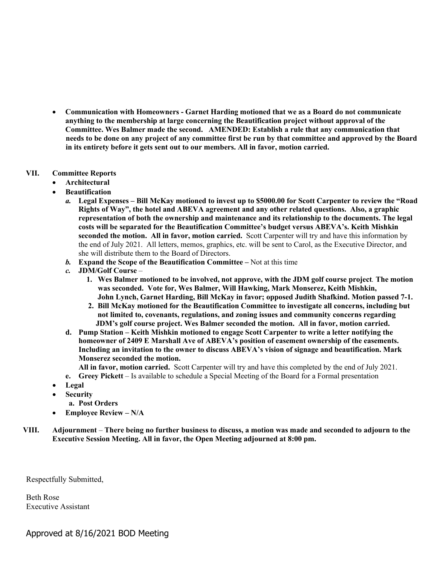• **Communication with Homeowners - Garnet Harding motioned that we as a Board do not communicate anything to the membership at large concerning the Beautification project without approval of the Committee. Wes Balmer made the second. AMENDED: Establish a rule that any communication that needs to be done on any project of any committee first be run by that committee and approved by the Board in its entirety before it gets sent out to our members. All in favor, motion carried.**

## **VII. Committee Reports**

- **Architectural**
- **Beautification** 
	- *a.* **Legal Expenses – Bill McKay motioned to invest up to \$5000.00 for Scott Carpenter to review the "Road Rights of Way", the hotel and ABEVA agreement and any other related questions. Also, a graphic representation of both the ownership and maintenance and its relationship to the documents. The legal costs will be separated for the Beautification Committee's budget versus ABEVA's. Keith Mishkin seconded the motion. All in favor, motion carried.** Scott Carpenter will try and have this information by the end of July 2021. All letters, memos, graphics, etc. will be sent to Carol, as the Executive Director, and she will distribute them to the Board of Directors.
	- *b.* **Expand the Scope of the Beautification Committee –** Not at this time
	- *c.* **JDM/Golf Course**
		- **1. Wes Balmer motioned to be involved, not approve, with the JDM golf course project***.* **The motion was seconded. Vote for, Wes Balmer, Will Hawking, Mark Monserez, Keith Mishkin, John Lynch, Garnet Harding, Bill McKay in favor; opposed Judith Shafkind. Motion passed 7-1.**
		- **2. Bill McKay motioned for the Beautification Committee to investigate all concerns, including but not limited to, covenants, regulations, and zoning issues and community concerns regarding JDM's golf course project. Wes Balmer seconded the motion. All in favor, motion carried.**
	- **d. Pump Station – Keith Mishkin motioned to engage Scott Carpenter to write a letter notifying the homeowner of 2409 E Marshall Ave of ABEVA's position of easement ownership of the easements. Including an invitation to the owner to discuss ABEVA's vision of signage and beautification. Mark Monserez seconded the motion.**

**All in favor, motion carried.** Scott Carpenter will try and have this completed by the end of July 2021.

- **e. Greey Pickett**  Is available to schedule a Special Meeting of the Board for a Formal presentation
- **Legal**
- **Security**
	- **a. Post Orders**
- **Employee Review – N/A**
- **VIII. Adjournment There being no further business to discuss, a motion was made and seconded to adjourn to the Executive Session Meeting. All in favor, the Open Meeting adjourned at 8:00 pm.**

Respectfully Submitted,

Beth Rose Executive Assistant